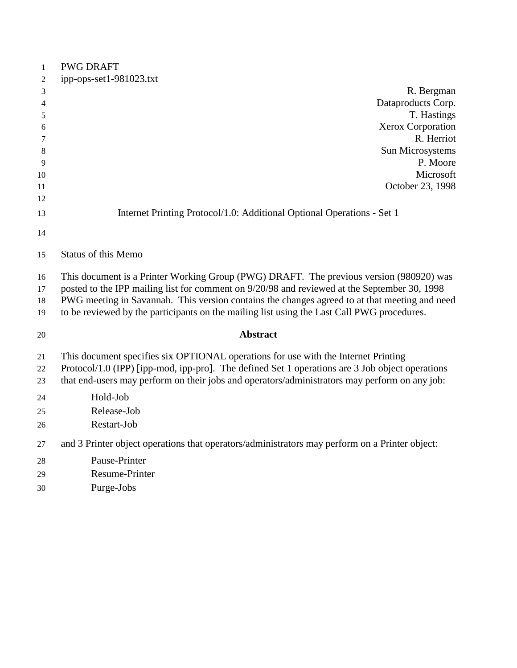| $\mathbf{1}$   | <b>PWG DRAFT</b>                                                                                |
|----------------|-------------------------------------------------------------------------------------------------|
| 2              | ipp-ops-set1-981023.txt                                                                         |
| 3              | R. Bergman                                                                                      |
| $\overline{4}$ | Dataproducts Corp.                                                                              |
| 5              | T. Hastings                                                                                     |
| 6              | Xerox Corporation                                                                               |
| 7              | R. Herriot                                                                                      |
| 8              | Sun Microsystems                                                                                |
| 9              | P. Moore                                                                                        |
| 10             | Microsoft                                                                                       |
| 11             | October 23, 1998                                                                                |
| 12             |                                                                                                 |
| 13             | Internet Printing Protocol/1.0: Additional Optional Operations - Set 1                          |
| 14             |                                                                                                 |
| 15             | <b>Status of this Memo</b>                                                                      |
| 16             | This document is a Printer Working Group (PWG) DRAFT. The previous version (980920) was         |
| 17             | posted to the IPP mailing list for comment on 9/20/98 and reviewed at the September 30, 1998    |
| 18             | PWG meeting in Savannah. This version contains the changes agreed to at that meeting and need   |
| 19             | to be reviewed by the participants on the mailing list using the Last Call PWG procedures.      |
| 20             | <b>Abstract</b>                                                                                 |
| 21             | This document specifies six OPTIONAL operations for use with the Internet Printing              |
| 22             | Protocol/1.0 (IPP) [ipp-mod, ipp-pro]. The defined Set 1 operations are 3 Job object operations |
| 23             | that end-users may perform on their jobs and operators/administrators may perform on any job:   |
| 24             | Hold-Job                                                                                        |
| 25             | Release-Job                                                                                     |
| 26             | Restart-Job                                                                                     |
| 27             | and 3 Printer object operations that operators/administrators may perform on a Printer object:  |
| 28             | Pause-Printer                                                                                   |
| 29             | <b>Resume-Printer</b>                                                                           |
| 30             | Purge-Jobs                                                                                      |
|                |                                                                                                 |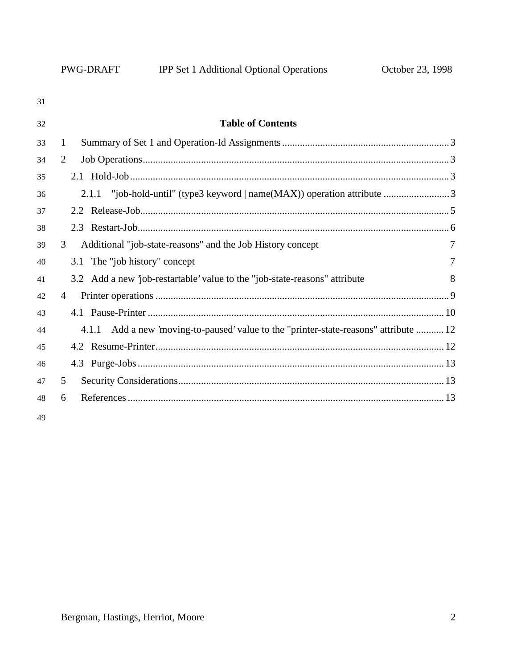| 31 |                                                                                          |   |
|----|------------------------------------------------------------------------------------------|---|
| 32 | <b>Table of Contents</b>                                                                 |   |
| 33 | $\mathbf{1}$                                                                             |   |
| 34 | 2                                                                                        |   |
| 35 |                                                                                          |   |
| 36 | "job-hold-until" (type3 keyword   name(MAX)) operation attribute 3<br>2.1.1              |   |
| 37 |                                                                                          |   |
| 38 |                                                                                          |   |
| 39 | 3<br>Additional "job-state-reasons" and the Job History concept                          |   |
| 40 | 3.1 The "job history" concept                                                            | 7 |
| 41 | 3.2 Add a new 'job-restartable' value to the "job-state-reasons" attribute               | 8 |
| 42 | $\overline{4}$                                                                           |   |
| 43 |                                                                                          |   |
| 44 | Add a new 'moving-to-paused' value to the "printer-state-reasons" attribute  12<br>4.1.1 |   |
| 45 |                                                                                          |   |
| 46 |                                                                                          |   |
| 47 | 5                                                                                        |   |
| 48 | 6                                                                                        |   |
| 49 |                                                                                          |   |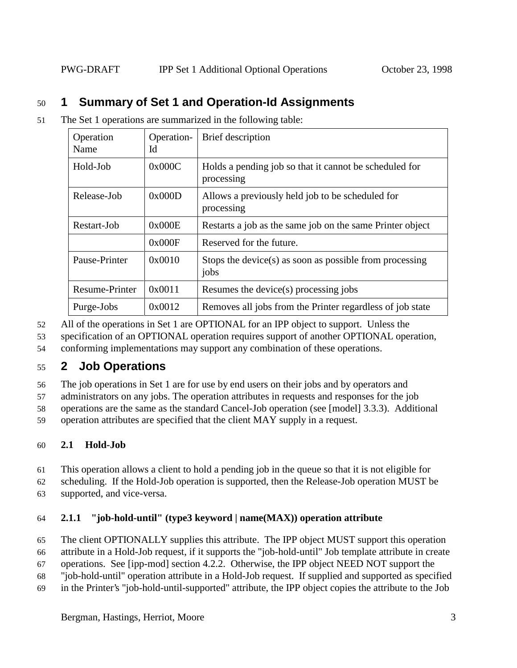# 50 **1 Summary of Set 1 and Operation-Id Assignments**

51 The Set 1 operations are summarized in the following table:

| Operation<br>Name | Operation-<br>Id | Brief description                                                    |  |
|-------------------|------------------|----------------------------------------------------------------------|--|
| Hold-Job          | 0x000C           | Holds a pending job so that it cannot be scheduled for<br>processing |  |
| Release-Job       | 0x000D           | Allows a previously held job to be scheduled for<br>processing       |  |
| Restart-Job       | 0x000E           | Restarts a job as the same job on the same Printer object            |  |
|                   | 0x000F           | Reserved for the future.                                             |  |
| Pause-Printer     | 0x0010           | Stops the device(s) as soon as possible from processing<br>jobs      |  |
| Resume-Printer    | 0x0011           | Resumes the device(s) processing jobs                                |  |
| Purge-Jobs        | 0x0012           | Removes all jobs from the Printer regardless of job state            |  |

52 All of the operations in Set 1 are OPTIONAL for an IPP object to support. Unless the

53 specification of an OPTIONAL operation requires support of another OPTIONAL operation,

54 conforming implementations may support any combination of these operations.

# 55 **2 Job Operations**

56 The job operations in Set 1 are for use by end users on their jobs and by operators and

57 administrators on any jobs. The operation attributes in requests and responses for the job

58 operations are the same as the standard Cancel-Job operation (see [model] 3.3.3). Additional

59 operation attributes are specified that the client MAY supply in a request.

## 60 **2.1 Hold-Job**

61 This operation allows a client to hold a pending job in the queue so that it is not eligible for

62 scheduling. If the Hold-Job operation is supported, then the Release-Job operation MUST be

63 supported, and vice-versa.

## 64 **2.1.1 "job-hold-until" (type3 keyword | name(MAX)) operation attribute**

65 The client OPTIONALLY supplies this attribute. The IPP object MUST support this operation

66 attribute in a Hold-Job request, if it supports the "job-hold-until" Job template attribute in create

67 operations. See [ipp-mod] section 4.2.2. Otherwise, the IPP object NEED NOT support the

68 "job-hold-until" operation attribute in a Hold-Job request. If supplied and supported as specified

69 in the Printer's "job-hold-until-supported" attribute, the IPP object copies the attribute to the Job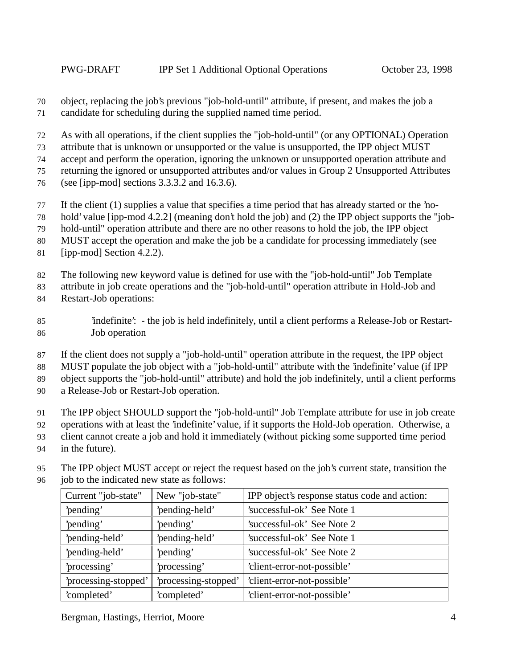object, replacing the job's previous "job-hold-until" attribute, if present, and makes the job a candidate for scheduling during the supplied named time period.

As with all operations, if the client supplies the "job-hold-until" (or any OPTIONAL) Operation

attribute that is unknown or unsupported or the value is unsupported, the IPP object MUST

accept and perform the operation, ignoring the unknown or unsupported operation attribute and

returning the ignored or unsupported attributes and/or values in Group 2 Unsupported Attributes

- (see [ipp-mod] sections 3.3.3.2 and 16.3.6).
- If the client (1) supplies a value that specifies a time period that has already started or the 'no-
- hold' value [ipp-mod 4.2.2] (meaning don't hold the job) and (2) the IPP object supports the "job-

hold-until" operation attribute and there are no other reasons to hold the job, the IPP object

MUST accept the operation and make the job be a candidate for processing immediately (see

[ipp-mod] Section 4.2.2).

The following new keyword value is defined for use with the "job-hold-until" Job Template

attribute in job create operations and the "job-hold-until" operation attribute in Hold-Job and

- Restart-Job operations:
- 'indefinite': the job is held indefinitely, until a client performs a Release-Job or Restart-Job operation
- If the client does not supply a "job-hold-until" operation attribute in the request, the IPP object

MUST populate the job object with a "job-hold-until" attribute with the 'indefinite' value (if IPP

object supports the "job-hold-until" attribute) and hold the job indefinitely, until a client performs

a Release-Job or Restart-Job operation.

The IPP object SHOULD support the "job-hold-until" Job Template attribute for use in job create

- operations with at least the 'indefinite' value, if it supports the Hold-Job operation. Otherwise, a
- client cannot create a job and hold it immediately (without picking some supported time period
- in the future).
- The IPP object MUST accept or reject the request based on the job's current state, transition the job to the indicated new state as follows:

| Current "job-state"  | New "job-state"      | IPP object's response status code and action: |
|----------------------|----------------------|-----------------------------------------------|
| 'pending'            | 'pending-held'       | 'successful-ok' See Note 1                    |
| 'pending'            | 'pending'            | 'successful-ok' See Note 2                    |
| 'pending-held'       | 'pending-held'       | 'successful-ok' See Note 1                    |
| 'pending-held'       | 'pending'            | 'successful-ok' See Note 2                    |
| 'processing'         | 'processing'         | 'client-error-not-possible'                   |
| 'processing-stopped' | 'processing-stopped' | 'client-error-not-possible'                   |
| 'completed'          | 'completed'          | 'client-error-not-possible'                   |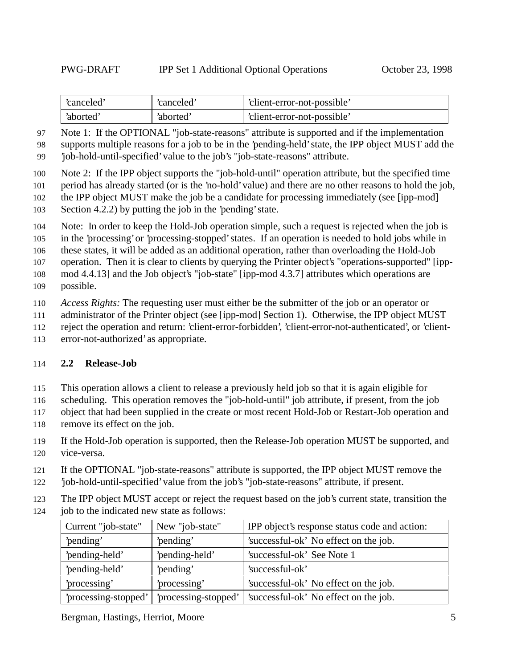| 'canceled' | 'canceled | 'client-error-not-possible' |
|------------|-----------|-----------------------------|
| 'aborted'  | 'aborted' | 'client-error-not-possible' |

 Note 1: If the OPTIONAL "job-state-reasons" attribute is supported and if the implementation supports multiple reasons for a job to be in the 'pending-held' state, the IPP object MUST add the

'job-hold-until-specified' value to the job's "job-state-reasons" attribute.

Note 2: If the IPP object supports the "job-hold-until" operation attribute, but the specified time

period has already started (or is the 'no-hold' value) and there are no other reasons to hold the job,

the IPP object MUST make the job be a candidate for processing immediately (see [ipp-mod]

Section 4.2.2) by putting the job in the 'pending' state.

Note: In order to keep the Hold-Job operation simple, such a request is rejected when the job is

in the 'processing' or 'processing-stopped' states. If an operation is needed to hold jobs while in

these states, it will be added as an additional operation, rather than overloading the Hold-Job

operation. Then it is clear to clients by querying the Printer object's "operations-supported" [ipp-

 mod 4.4.13] and the Job object's "job-state" [ipp-mod 4.3.7] attributes which operations are possible.

*Access Rights:* The requesting user must either be the submitter of the job or an operator or

administrator of the Printer object (see [ipp-mod] Section 1). Otherwise, the IPP object MUST

reject the operation and return: 'client-error-forbidden', 'client-error-not-authenticated', or 'client-

error-not-authorized' as appropriate.

#### **2.2 Release-Job**

This operation allows a client to release a previously held job so that it is again eligible for

scheduling. This operation removes the "job-hold-until" job attribute, if present, from the job

- object that had been supplied in the create or most recent Hold-Job or Restart-Job operation and
- remove its effect on the job.
- If the Hold-Job operation is supported, then the Release-Job operation MUST be supported, and vice-versa.
- If the OPTIONAL "job-state-reasons" attribute is supported, the IPP object MUST remove the
- 'job-hold-until-specified' value from the job's "job-state-reasons" attribute, if present.
- The IPP object MUST accept or reject the request based on the job's current state, transition the
- job to the indicated new state as follows:

| Current "job-state"  | New "job-state"      | IPP object's response status code and action: |
|----------------------|----------------------|-----------------------------------------------|
| 'pending'            | 'pending'            | 'successful-ok' No effect on the job.         |
| 'pending-held'       | 'pending-held'       | 'successful-ok' See Note 1                    |
| 'pending-held'       | 'pending'            | 'successful-ok'                               |
| 'processing'         | 'processing'         | 'successful-ok' No effect on the job.         |
| 'processing-stopped' | 'processing-stopped' | 'successful-ok' No effect on the job.         |

Bergman, Hastings, Herriot, Moore 5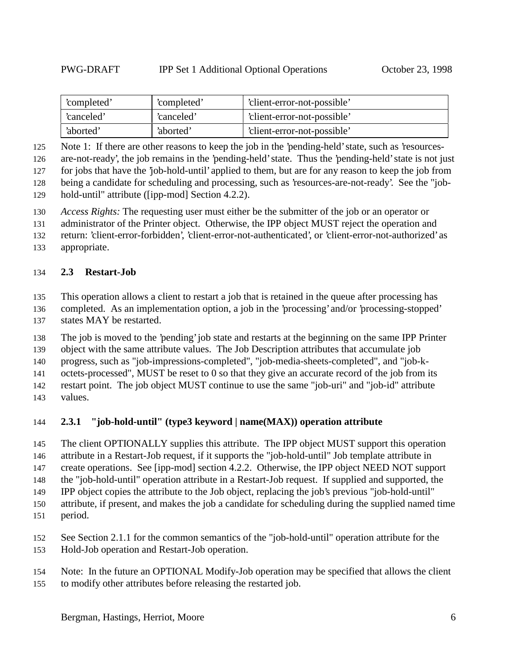| 'completed' | 'completed' | 'client-error-not-possible' |
|-------------|-------------|-----------------------------|
| 'canceled'  | 'canceled'  | 'client-error-not-possible' |
| 'aborted'   | 'aborted'   | 'client-error-not-possible' |

Note 1: If there are other reasons to keep the job in the 'pending-held' state, such as 'resources-

are-not-ready', the job remains in the 'pending-held' state. Thus the 'pending-held' state is not just

for jobs that have the 'job-hold-until' applied to them, but are for any reason to keep the job from

 being a candidate for scheduling and processing, such as 'resources-are-not-ready'. See the "job-hold-until" attribute ([ipp-mod] Section 4.2.2).

*Access Rights:* The requesting user must either be the submitter of the job or an operator or

administrator of the Printer object. Otherwise, the IPP object MUST reject the operation and

return: 'client-error-forbidden', 'client-error-not-authenticated', or 'client-error-not-authorized' as

appropriate.

#### **2.3 Restart-Job**

This operation allows a client to restart a job that is retained in the queue after processing has

completed. As an implementation option, a job in the 'processing' and/or 'processing-stopped'

states MAY be restarted.

The job is moved to the 'pending' job state and restarts at the beginning on the same IPP Printer

object with the same attribute values. The Job Description attributes that accumulate job

progress, such as "job-impressions-completed", "job-media-sheets-completed", and "job-k-

octets-processed", MUST be reset to 0 so that they give an accurate record of the job from its

restart point. The job object MUST continue to use the same "job-uri" and "job-id" attribute

values.

#### **2.3.1 "job-hold-until" (type3 keyword | name(MAX)) operation attribute**

The client OPTIONALLY supplies this attribute. The IPP object MUST support this operation

attribute in a Restart-Job request, if it supports the "job-hold-until" Job template attribute in

147 create operations. See [ipp-mod] section 4.2.2. Otherwise, the IPP object NEED NOT support

the "job-hold-until" operation attribute in a Restart-Job request. If supplied and supported, the

 IPP object copies the attribute to the Job object, replacing the job's previous "job-hold-until" attribute, if present, and makes the job a candidate for scheduling during the supplied named time

period.

 See Section 2.1.1 for the common semantics of the "job-hold-until" operation attribute for the Hold-Job operation and Restart-Job operation.

 Note: In the future an OPTIONAL Modify-Job operation may be specified that allows the client to modify other attributes before releasing the restarted job.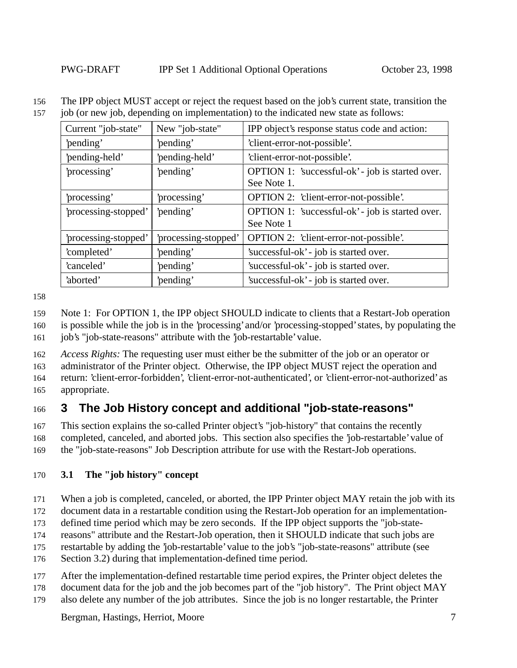The IPP object MUST accept or reject the request based on the job's current state, transition the

job (or new job, depending on implementation) to the indicated new state as follows:

| New "job-state"<br>Current "job-state" |                      | IPP object's response status code and action:    |
|----------------------------------------|----------------------|--------------------------------------------------|
| 'pending'                              | 'pending'            | 'client-error-not-possible'.                     |
| 'pending-held'                         | 'pending-held'       | 'client-error-not-possible'.                     |
| 'processing'                           | 'pending'            | OPTION 1: 'successful-ok' - job is started over. |
|                                        |                      | See Note 1.                                      |
| processing'                            | 'processing'         | OPTION 2: 'client-error-not-possible'.           |
| 'processing-stopped'                   | 'pending'            | OPTION 1: 'successful-ok' - job is started over. |
|                                        |                      | See Note 1                                       |
| 'processing-stopped'                   | 'processing-stopped' | OPTION 2: 'client-error-not-possible'.           |
| 'completed'                            | 'pending'            | 'successful-ok' - job is started over.           |
| 'canceled'                             | 'pending'            | 'successful-ok' - job is started over.           |
| 'aborted'                              | 'pending'            | 'successful-ok' - job is started over.           |

Note 1: For OPTION 1, the IPP object SHOULD indicate to clients that a Restart-Job operation

 is possible while the job is in the 'processing' and/or 'processing-stopped' states, by populating the job's "job-state-reasons" attribute with the 'job-restartable' value.

*Access Rights:* The requesting user must either be the submitter of the job or an operator or

 administrator of the Printer object. Otherwise, the IPP object MUST reject the operation and return: 'client-error-forbidden', 'client-error-not-authenticated', or 'client-error-not-authorized' as

appropriate.

# **3 The Job History concept and additional "job-state-reasons"**

This section explains the so-called Printer object's "job-history" that contains the recently

completed, canceled, and aborted jobs. This section also specifies the 'job-restartable' value of

the "job-state-reasons" Job Description attribute for use with the Restart-Job operations.

## **3.1 The "job history" concept**

When a job is completed, canceled, or aborted, the IPP Printer object MAY retain the job with its

document data in a restartable condition using the Restart-Job operation for an implementation-

defined time period which may be zero seconds. If the IPP object supports the "job-state-

reasons" attribute and the Restart-Job operation, then it SHOULD indicate that such jobs are

restartable by adding the 'job-restartable' value to the job's "job-state-reasons" attribute (see

Section 3.2) during that implementation-defined time period.

After the implementation-defined restartable time period expires, the Printer object deletes the

document data for the job and the job becomes part of the "job history". The Print object MAY

also delete any number of the job attributes. Since the job is no longer restartable, the Printer

Bergman, Hastings, Herriot, Moore 7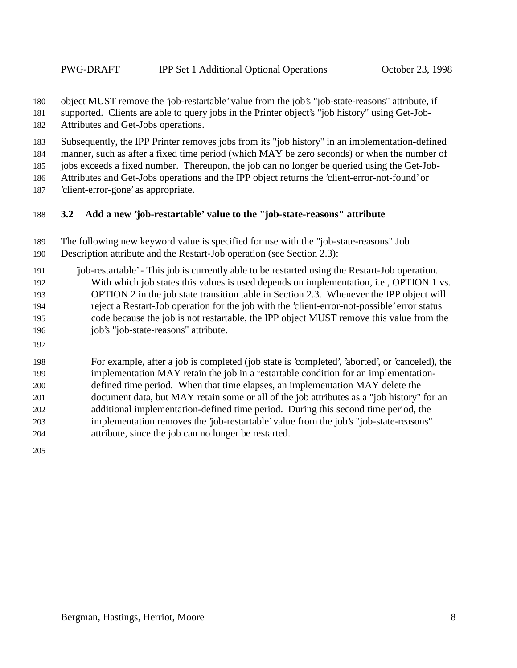object MUST remove the 'job-restartable' value from the job's "job-state-reasons" attribute, if

supported. Clients are able to query jobs in the Printer object's "job history" using Get-Job-

Attributes and Get-Jobs operations.

Subsequently, the IPP Printer removes jobs from its "job history" in an implementation-defined

manner, such as after a fixed time period (which MAY be zero seconds) or when the number of

jobs exceeds a fixed number. Thereupon, the job can no longer be queried using the Get-Job-

Attributes and Get-Jobs operations and the IPP object returns the 'client-error-not-found' or

'client-error-gone' as appropriate.

## **3.2 Add a new 'job-restartable' value to the "job-state-reasons" attribute**

 The following new keyword value is specified for use with the "job-state-reasons" Job Description attribute and the Restart-Job operation (see Section 2.3):

 'job-restartable' - This job is currently able to be restarted using the Restart-Job operation. With which job states this values is used depends on implementation, i.e., OPTION 1 vs. OPTION 2 in the job state transition table in Section 2.3. Whenever the IPP object will reject a Restart-Job operation for the job with the 'client-error-not-possible' error status code because the job is not restartable, the IPP object MUST remove this value from the job's "job-state-reasons" attribute.

 For example, after a job is completed (job state is 'completed', 'aborted', or 'canceled), the implementation MAY retain the job in a restartable condition for an implementation- defined time period. When that time elapses, an implementation MAY delete the document data, but MAY retain some or all of the job attributes as a "job history" for an additional implementation-defined time period. During this second time period, the implementation removes the 'job-restartable' value from the job's "job-state-reasons" attribute, since the job can no longer be restarted.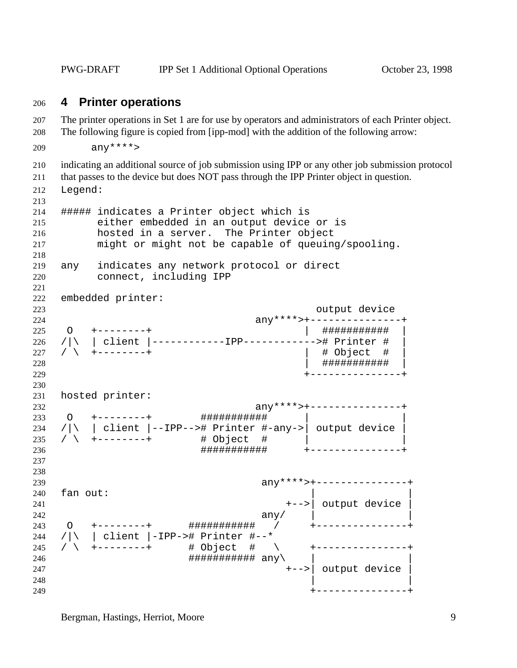PWG-DRAFT IPP Set 1 Additional Optional Operations October 23, 1998

#### **4 Printer operations**

 The printer operations in Set 1 are for use by operators and administrators of each Printer object. The following figure is copied from [ipp-mod] with the addition of the following arrow:

```
209 any****>
```
indicating an additional source of job submission using IPP or any other job submission protocol

that passes to the device but does NOT pass through the IPP Printer object in question.

Legend:

```
213
214 ##### indicates a Printer object which is
215 either embedded in an output device or is
216 hosted in a server. The Printer object
217 might or might not be capable of queuing/spooling.
218
219 any indicates any network protocol or direct
220 connect, including IPP
221
222 embedded printer:
223 output device
224 any****>+---------------+
225 O +--------+ | ########### |
226 /|\ | client |------------IPP------------># Printer # |
227 / \ +--------+
228 | ########### |
229 +---------------+
230
231 hosted printer:
232 any****>+---------------+
233 O +--------+ ########### | |
234 /|\rangle | client |--IPP--># Printer #-any->| output device |
235 / \ +--------+ # Object # | |
236 ########### +---------------+
237
238
239 any****>+---------------+
240 fan out:
241 +-->| output device |
242 any/ \vert243 O +--------+ ########### / +---------------+
244 /|\ | client |-IPP-># Printer #--*
245 / \ +--------+ # Object # \ +---------------+
246 ########### any\ | |
247 +-->| output device |
248 \qquad \qquad249 +---------------+
```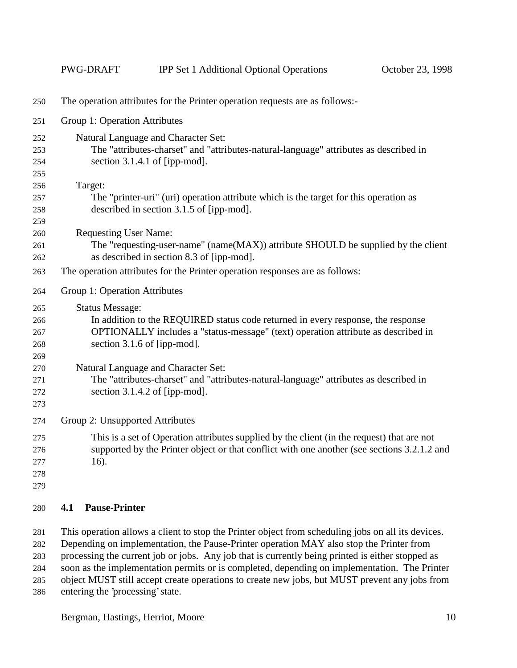|     | <b>PWG-DRAFT</b>                                                                      | <b>IPP Set 1 Additional Optional Operations</b>                                             | October 23, 1998 |  |  |  |
|-----|---------------------------------------------------------------------------------------|---------------------------------------------------------------------------------------------|------------------|--|--|--|
| 250 | The operation attributes for the Printer operation requests are as follows:-          |                                                                                             |                  |  |  |  |
| 251 | Group 1: Operation Attributes                                                         |                                                                                             |                  |  |  |  |
| 252 |                                                                                       | Natural Language and Character Set:                                                         |                  |  |  |  |
| 253 |                                                                                       | The "attributes-charset" and "attributes-natural-language" attributes as described in       |                  |  |  |  |
| 254 |                                                                                       | section $3.1.4.1$ of [ipp-mod].                                                             |                  |  |  |  |
| 255 |                                                                                       |                                                                                             |                  |  |  |  |
| 256 | Target:                                                                               |                                                                                             |                  |  |  |  |
| 257 |                                                                                       | The "printer-uri" (uri) operation attribute which is the target for this operation as       |                  |  |  |  |
| 258 |                                                                                       | described in section 3.1.5 of [ipp-mod].                                                    |                  |  |  |  |
| 259 |                                                                                       |                                                                                             |                  |  |  |  |
| 260 | <b>Requesting User Name:</b>                                                          |                                                                                             |                  |  |  |  |
| 261 |                                                                                       | The "requesting-user-name" (name(MAX)) attribute SHOULD be supplied by the client           |                  |  |  |  |
| 262 | as described in section 8.3 of [ipp-mod].                                             |                                                                                             |                  |  |  |  |
| 263 | The operation attributes for the Printer operation responses are as follows:          |                                                                                             |                  |  |  |  |
| 264 | Group 1: Operation Attributes                                                         |                                                                                             |                  |  |  |  |
| 265 | <b>Status Message:</b>                                                                |                                                                                             |                  |  |  |  |
| 266 | In addition to the REQUIRED status code returned in every response, the response      |                                                                                             |                  |  |  |  |
| 267 | OPTIONALLY includes a "status-message" (text) operation attribute as described in     |                                                                                             |                  |  |  |  |
| 268 |                                                                                       | section 3.1.6 of [ipp-mod].                                                                 |                  |  |  |  |
| 269 |                                                                                       |                                                                                             |                  |  |  |  |
| 270 |                                                                                       | Natural Language and Character Set:                                                         |                  |  |  |  |
| 271 | The "attributes-charset" and "attributes-natural-language" attributes as described in |                                                                                             |                  |  |  |  |
| 272 |                                                                                       | section $3.1.4.2$ of [ipp-mod].                                                             |                  |  |  |  |
| 273 |                                                                                       |                                                                                             |                  |  |  |  |
| 274 | Group 2: Unsupported Attributes                                                       |                                                                                             |                  |  |  |  |
| 275 |                                                                                       | This is a set of Operation attributes supplied by the client (in the request) that are not  |                  |  |  |  |
| 276 |                                                                                       | supported by the Printer object or that conflict with one another (see sections 3.2.1.2 and |                  |  |  |  |
| 277 | $16$ ).                                                                               |                                                                                             |                  |  |  |  |
| 278 |                                                                                       |                                                                                             |                  |  |  |  |
| 279 |                                                                                       |                                                                                             |                  |  |  |  |
| 280 | <b>Pause-Printer</b><br>4.1                                                           |                                                                                             |                  |  |  |  |

 This operation allows a client to stop the Printer object from scheduling jobs on all its devices. Depending on implementation, the Pause-Printer operation MAY also stop the Printer from processing the current job or jobs. Any job that is currently being printed is either stopped as soon as the implementation permits or is completed, depending on implementation. The Printer object MUST still accept create operations to create new jobs, but MUST prevent any jobs from entering the 'processing' state.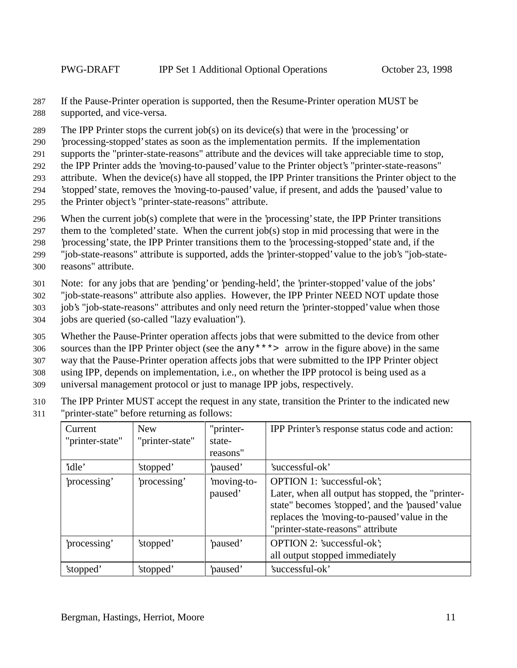287 If the Pause-Printer operation is supported, then the Resume-Printer operation MUST be 288 supported, and vice-versa.

289 The IPP Printer stops the current job(s) on its device(s) that were in the 'processing' or

290 'processing-stopped' states as soon as the implementation permits. If the implementation

291 supports the "printer-state-reasons" attribute and the devices will take appreciable time to stop,

292 the IPP Printer adds the 'moving-to-paused' value to the Printer object's "printer-state-reasons"

293 attribute. When the device(s) have all stopped, the IPP Printer transitions the Printer object to the

294 'stopped' state, removes the 'moving-to-paused' value, if present, and adds the 'paused' value to

295 the Printer object's "printer-state-reasons" attribute.

296 When the current job(s) complete that were in the 'processing' state, the IPP Printer transitions

297 them to the 'completed' state. When the current job(s) stop in mid processing that were in the

298 'processing' state, the IPP Printer transitions them to the 'processing-stopped' state and, if the

299 "job-state-reasons" attribute is supported, adds the 'printer-stopped' value to the job's "job-state-

300 reasons" attribute.

301 Note: for any jobs that are 'pending' or 'pending-held', the 'printer-stopped' value of the jobs'

302 "job-state-reasons" attribute also applies. However, the IPP Printer NEED NOT update those

303 job's "job-state-reasons" attributes and only need return the 'printer-stopped' value when those

304 jobs are queried (so-called "lazy evaluation").

305 Whether the Pause-Printer operation affects jobs that were submitted to the device from other

306 sources than the IPP Printer object (see the any\*\*\*> arrow in the figure above) in the same

307 way that the Pause-Printer operation affects jobs that were submitted to the IPP Printer object

308 using IPP, depends on implementation, i.e., on whether the IPP protocol is being used as a

309 universal management protocol or just to manage IPP jobs, respectively.

310 The IPP Printer MUST accept the request in any state, transition the Printer to the indicated new

311 "printer-state" before returning as follows:

| Current         | <b>New</b>      | "printer-  | IPP Printer's response status code and action:    |
|-----------------|-----------------|------------|---------------------------------------------------|
| "printer-state" | "printer-state" | state-     |                                                   |
|                 |                 | reasons"   |                                                   |
| 'idle'          | 'stopped'       | paused'    | 'successful-ok'                                   |
| processing'     | processing'     | moving-to- | OPTION 1: 'successful-ok';                        |
|                 |                 | paused'    | Later, when all output has stopped, the "printer- |
|                 |                 |            | state" becomes 'stopped', and the 'paused' value  |
|                 |                 |            | replaces the 'moving-to-paused' value in the      |
|                 |                 |            | "printer-state-reasons" attribute                 |
| processing'     | 'stopped'       | paused'    | OPTION 2: 'successful-ok';                        |
|                 |                 |            | all output stopped immediately                    |
| 'stopped'       | 'stopped'       | paused'    | 'successful-ok'                                   |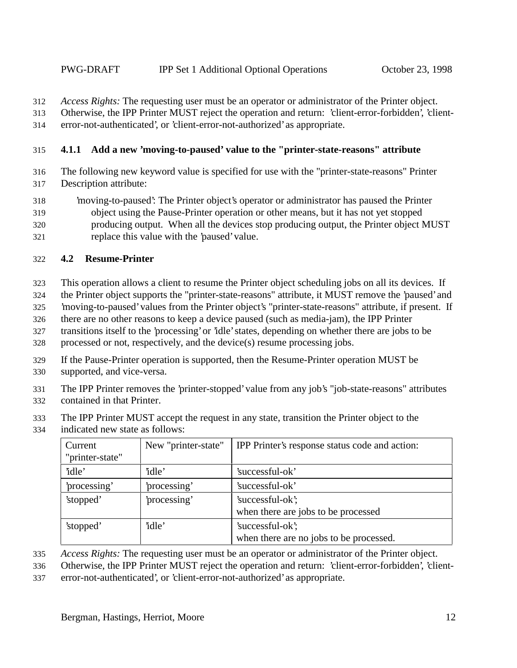*Access Rights:* The requesting user must be an operator or administrator of the Printer object.

Otherwise, the IPP Printer MUST reject the operation and return: 'client-error-forbidden', 'client-

error-not-authenticated', or 'client-error-not-authorized' as appropriate.

### **4.1.1 Add a new 'moving-to-paused' value to the "printer-state-reasons" attribute**

- The following new keyword value is specified for use with the "printer-state-reasons" Printer Description attribute:
- 'moving-to-paused': The Printer object's operator or administrator has paused the Printer object using the Pause-Printer operation or other means, but it has not yet stopped producing output. When all the devices stop producing output, the Printer object MUST replace this value with the 'paused' value.

## **4.2 Resume-Printer**

- This operation allows a client to resume the Printer object scheduling jobs on all its devices. If
- the Printer object supports the "printer-state-reasons" attribute, it MUST remove the 'paused' and
- 'moving-to-paused' values from the Printer object's "printer-state-reasons" attribute, if present. If
- there are no other reasons to keep a device paused (such as media-jam), the IPP Printer
- transitions itself to the 'processing' or 'idle' states, depending on whether there are jobs to be
- processed or not, respectively, and the device(s) resume processing jobs.
- If the Pause-Printer operation is supported, then the Resume-Printer operation MUST be
- supported, and vice-versa.
- The IPP Printer removes the 'printer-stopped' value from any job's "job-state-reasons" attributes contained in that Printer.
- The IPP Printer MUST accept the request in any state, transition the Printer object to the
- indicated new state as follows:

| Current<br>"printer-state" | New "printer-state" | IPP Printer's response status code and action:              |
|----------------------------|---------------------|-------------------------------------------------------------|
| 'idle'                     | 'idle'              | 'successful-ok'                                             |
| 'processing'               | 'processing'        | 'successful-ok'                                             |
| 'stopped'                  | 'processing'        | 'successful-ok';<br>when there are jobs to be processed     |
| 'stopped'                  | 'idle'              | 'successful-ok';<br>when there are no jobs to be processed. |

- *Access Rights:* The requesting user must be an operator or administrator of the Printer object.
- Otherwise, the IPP Printer MUST reject the operation and return: 'client-error-forbidden', 'client-
- error-not-authenticated', or 'client-error-not-authorized' as appropriate.